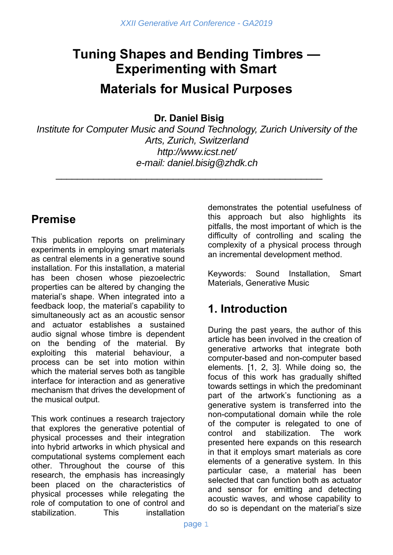# **Tuning Shapes and Bending Timbres — Experimenting with Smart Materials for Musical Purposes**

**Dr. Daniel Bisig** 

\_\_\_\_\_\_\_\_\_\_\_\_\_\_\_\_\_\_\_\_\_\_\_\_\_\_\_\_\_\_\_\_\_\_\_\_\_\_\_\_\_\_\_\_\_\_\_\_\_\_

*Institute for Computer Music and Sound Technology, Zurich University of the Arts, Zurich, Switzerland http://www.icst.net/ e-mail: daniel.bisig@zhdk.ch* 

### **Premise**

This publication reports on preliminary experiments in employing smart materials as central elements in a generative sound installation. For this installation, a material has been chosen whose piezoelectric properties can be altered by changing the material's shape. When integrated into a feedback loop, the material's capability to simultaneously act as an acoustic sensor and actuator establishes a sustained audio signal whose timbre is dependent on the bending of the material. By exploiting this material behaviour, a process can be set into motion within which the material serves both as tangible interface for interaction and as generative mechanism that drives the development of the musical output.

This work continues a research trajectory that explores the generative potential of physical processes and their integration into hybrid artworks in which physical and computational systems complement each other. Throughout the course of this research, the emphasis has increasingly been placed on the characteristics of physical processes while relegating the role of computation to one of control and stabilization. This installation

demonstrates the potential usefulness of this approach but also highlights its pitfalls, the most important of which is the difficulty of controlling and scaling the complexity of a physical process through an incremental development method.

Keywords: Sound Installation, Smart Materials, Generative Music

### **1. Introduction**

During the past years, the author of this article has been involved in the creation of generative artworks that integrate both computer-based and non-computer based elements. [1, 2, 3]. While doing so, the focus of this work has gradually shifted towards settings in which the predominant part of the artwork's functioning as a generative system is transferred into the non-computational domain while the role of the computer is relegated to one of control and stabilization. The work presented here expands on this research in that it employs smart materials as core elements of a generative system. In this particular case, a material has been selected that can function both as actuator and sensor for emitting and detecting acoustic waves, and whose capability to do so is dependant on the material's size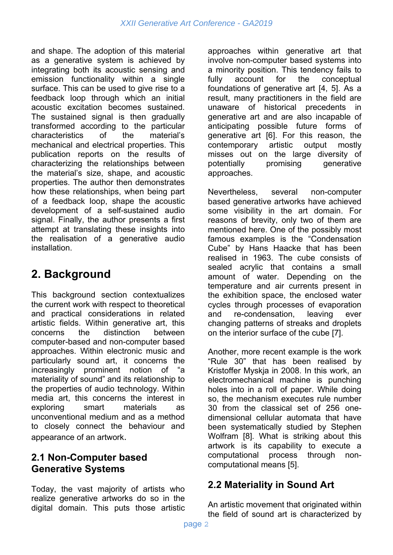and shape. The adoption of this material as a generative system is achieved by integrating both its acoustic sensing and emission functionality within a single surface. This can be used to give rise to a feedback loop through which an initial acoustic excitation becomes sustained. The sustained signal is then gradually transformed according to the particular characteristics of the material's mechanical and electrical properties. This publication reports on the results of characterizing the relationships between the material's size, shape, and acoustic properties. The author then demonstrates how these relationships, when being part of a feedback loop, shape the acoustic development of a self-sustained audio signal. Finally, the author presents a first attempt at translating these insights into the realisation of a generative audio installation.

### **2. Background**

This background section contextualizes the current work with respect to theoretical and practical considerations in related artistic fields. Within generative art, this concerns the distinction between computer-based and non-computer based approaches. Within electronic music and particularly sound art, it concerns the increasingly prominent notion of "a materiality of sound" and its relationship to the properties of audio technology. Within media art, this concerns the interest in exploring smart materials as unconventional medium and as a method to closely connect the behaviour and appearance of an artwork.

#### **2.1 Non-Computer based Generative Systems**

Today, the vast majority of artists who realize generative artworks do so in the digital domain. This puts those artistic

approaches within generative art that involve non-computer based systems into a minority position. This tendency fails to fully account for the conceptual foundations of generative art [4, 5]. As a result, many practitioners in the field are unaware of historical precedents in generative art and are also incapable of anticipating possible future forms of generative art [6]. For this reason, the contemporary artistic output mostly misses out on the large diversity of potentially promising generative approaches.

Nevertheless, several non-computer based generative artworks have achieved some visibility in the art domain. For reasons of brevity, only two of them are mentioned here. One of the possibly most famous examples is the "Condensation Cube" by Hans Haacke that has been realised in 1963. The cube consists of sealed acrylic that contains a small amount of water. Depending on the temperature and air currents present in the exhibition space, the enclosed water cycles through processes of evaporation and re-condensation, leaving ever changing patterns of streaks and droplets on the interior surface of the cube [7].

Another, more recent example is the work "Rule 30" that has been realised by Kristoffer Myskja in 2008. In this work, an electromechanical machine is punching holes into in a roll of paper. While doing so, the mechanism executes rule number 30 from the classical set of 256 onedimensional cellular automata that have been systematically studied by Stephen Wolfram [8]. What is striking about this artwork is its capability to execute a computational process through noncomputational means [5].

### **2.2 Materiality in Sound Art**

An artistic movement that originated within the field of sound art is characterized by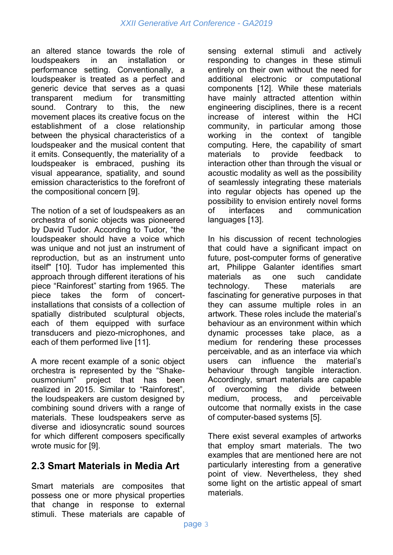an altered stance towards the role of loudspeakers in an installation or performance setting. Conventionally, a loudspeaker is treated as a perfect and generic device that serves as a quasi transparent medium for transmitting sound. Contrary to this, the new movement places its creative focus on the establishment of a close relationship between the physical characteristics of a loudspeaker and the musical content that it emits. Consequently, the materiality of a loudspeaker is embraced, pushing its visual appearance, spatiality, and sound emission characteristics to the forefront of the compositional concern [9].

The notion of a set of loudspeakers as an orchestra of sonic objects was pioneered by David Tudor. According to Tudor, "the loudspeaker should have a voice which was unique and not just an instrument of reproduction, but as an instrument unto itself" [10]. Tudor has implemented this approach through different iterations of his piece "Rainforest" starting from 1965. The piece takes the form of concertinstallations that consists of a collection of spatially distributed sculptural objects, each of them equipped with surface transducers and piezo-microphones, and each of them performed live [11].

A more recent example of a sonic object orchestra is represented by the "Shakeproject that has been realized in 2015. Similar to "Rainforest", the loudspeakers are custom designed by combining sound drivers with a range of materials. These loudspeakers serve as diverse and idiosyncratic sound sources for which different composers specifically wrote music for [9].

### **2.3 Smart Materials in Media Art**

Smart materials are composites that possess one or more physical properties that change in response to external stimuli. These materials are capable of sensing external stimuli and actively responding to changes in these stimuli entirely on their own without the need for additional electronic or computational components [12]. While these materials have mainly attracted attention within engineering disciplines, there is a recent increase of interest within the HCI community, in particular among those working in the context of tangible computing. Here, the capability of smart materials to provide feedback to interaction other than through the visual or acoustic modality as well as the possibility of seamlessly integrating these materials into regular objects has opened up the possibility to envision entirely novel forms of interfaces and communication languages [13].

In his discussion of recent technologies that could have a significant impact on future, post-computer forms of generative art, Philippe Galanter identifies smart materials as one such candidate technology. These materials are fascinating for generative purposes in that they can assume multiple roles in an artwork. These roles include the material's behaviour as an environment within which dynamic processes take place, as a medium for rendering these processes perceivable, and as an interface via which users can influence the material's behaviour through tangible interaction. Accordingly, smart materials are capable of overcoming the divide between medium, process, and perceivable outcome that normally exists in the case of computer-based systems [5].

There exist several examples of artworks that employ smart materials. The two examples that are mentioned here are not particularly interesting from a generative point of view. Nevertheless, they shed some light on the artistic appeal of smart materials.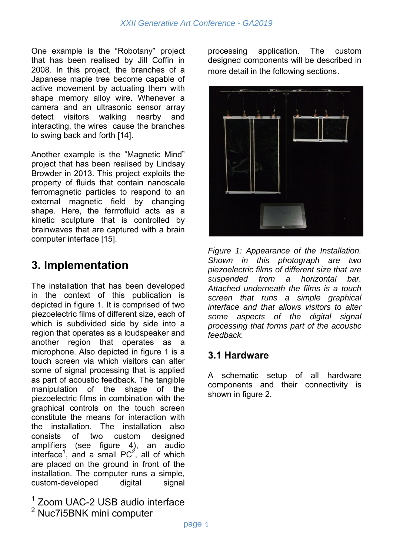One example is the "Robotany" project that has been realised by Jill Coffin in 2008. In this project, the branches of a Japanese maple tree become capable of active movement by actuating them with shape memory alloy wire. Whenever a camera and an ultrasonic sensor array detect visitors walking nearby and interacting, the wires cause the branches to swing back and forth [14].

Another example is the "Magnetic Mind" project that has been realised by Lindsay Browder in 2013. This project exploits the property of fluids that contain nanoscale ferromagnetic particles to respond to an external magnetic field by changing shape. Here, the ferrrofluid acts as a kinetic sculpture that is controlled by brainwaves that are captured with a brain computer interface [15].

## **3. Implementation**

The installation that has been developed in the context of this publication is depicted in figure 1. It is comprised of two piezoelectric films of different size, each of which is subdivided side by side into a region that operates as a loudspeaker and another region that operates as a microphone. Also depicted in figure 1 is a touch screen via which visitors can alter some of signal processing that is applied as part of acoustic feedback. The tangible manipulation of the shape of the piezoelectric films in combination with the graphical controls on the touch screen constitute the means for interaction with the installation. The installation also consists of two custom designed amplifiers (see figure 4), an audio interface<sup>1</sup>, and a small PC<sup>2</sup>, all of which are placed on the ground in front of the installation. The computer runs a simple, custom-developed digital signal

 $\overline{1}$ Zoom UAC-2 USB audio interface

2 Nuc7i5BNK mini computer processing application. The custom designed components will be described in more detail in the following sections.



*Figure 1: Appearance of the Installation. Shown in this photograph are two piezoelectric films of different size that are suspended from a horizontal bar. Attached underneath the films is a touch screen that runs a simple graphical interface and that allows visitors to alter some aspects of the digital signal processing that forms part of the acoustic feedback.*

#### **3.1 Hardware**

A schematic setup of all hardware components and their connectivity is shown in figure 2.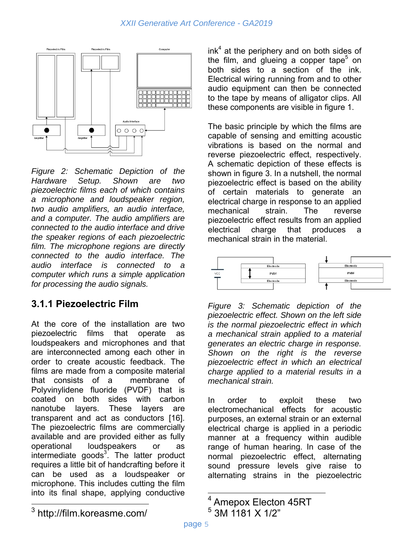

*Figure 2: Schematic Depiction of the Hardware Setup. Shown are two piezoelectric films each of which contains a microphone and loudspeaker region, two audio amplifiers, an audio interface, and a computer. The audio amplifiers are connected to the audio interface and drive the speaker regions of each piezoelectric film. The microphone regions are directly connected to the audio interface. The audio interface is connected to a computer which runs a simple application for processing the audio signals.*

### **3.1.1 Piezoelectric Film**

At the core of the installation are two piezoelectric films that operate as loudspeakers and microphones and that are interconnected among each other in order to create acoustic feedback. The films are made from a composite material that consists of a membrane of Polyvinylidene fluoride (PVDF) that is coated on both sides with carbon nanotube layers. These layers are transparent and act as conductors [16]. The piezoelectric films are commercially available and are provided either as fully operational loudspeakers or as intermediate goods $3$ . The latter product requires a little bit of handcrafting before it can be used as a loudspeaker or microphone. This includes cutting the film into its final shape, applying conductive

 $ink<sup>4</sup>$  at the periphery and on both sides of the film, and glueing a copper tape<sup>5</sup> on both sides to a section of the ink. Electrical wiring running from and to other audio equipment can then be connected to the tape by means of alligator clips. All these components are visible in figure 1.

The basic principle by which the films are capable of sensing and emitting acoustic vibrations is based on the normal and reverse piezoelectric effect, respectively. A schematic depiction of these effects is shown in figure 3. In a nutshell, the normal piezoelectric effect is based on the ability of certain materials to generate an electrical charge in response to an applied mechanical strain. The reverse piezoelectric effect results from an applied electrical charge that produces a mechanical strain in the material.



*Figure 3: Schematic depiction of the piezoelectric effect. Shown on the left side is the normal piezoelectric effect in which a mechanical strain applied to a material generates an electric charge in response. Shown on the right is the reverse piezoelectric effect in which an electrical charge applied to a material results in a mechanical strain.*

In order to exploit these two electromechanical effects for acoustic purposes, an external strain or an external electrical charge is applied in a periodic manner at a frequency within audible range of human hearing. In case of the normal piezoelectric effect, alternating sound pressure levels give raise to alternating strains in the piezoelectric

 $\frac{1}{4}$  Amepox Electon 45RT 5

 <sup>3</sup>M 1181 X 1/2"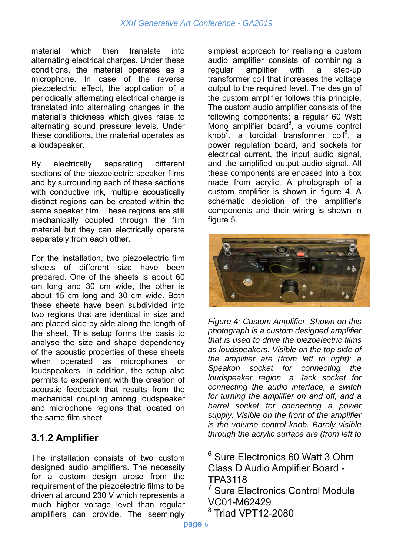material which then translate into alternating electrical charges. Under these conditions, the material operates as a microphone. In case of the reverse piezoelectric effect, the application of a periodically alternating electrical charge is translated into alternating changes in the material's thickness which gives raise to alternating sound pressure levels. Under these conditions, the material operates as a loudspeaker.

By electrically separating different sections of the piezoelectric speaker films and by surrounding each of these sections with conductive ink, multiple acoustically distinct regions can be created within the same speaker film. These regions are still mechanically coupled through the film material but they can electrically operate separately from each other.

For the installation, two piezoelectric film sheets of different size have been prepared. One of the sheets is about 60 cm long and 30 cm wide, the other is about 15 cm long and 30 cm wide. Both these sheets have been subdivided into two regions that are identical in size and are placed side by side along the length of the sheet. This setup forms the basis to analyse the size and shape dependency of the acoustic properties of these sheets when operated as microphones or loudspeakers. In addition, the setup also permits to experiment with the creation of acoustic feedback that results from the mechanical coupling among loudspeaker and microphone regions that located on the same film sheet

#### **3.1.2 Amplifier**

The installation consists of two custom designed audio amplifiers. The necessity for a custom design arose from the requirement of the piezoelectric films to be driven at around 230 V which represents a much higher voltage level than regular amplifiers can provide. The seemingly

simplest approach for realising a custom audio amplifier consists of combining a regular amplifier with a step-up transformer coil that increases the voltage output to the required level. The design of the custom amplifier follows this principle. The custom audio amplifier consists of the following components: a regular 60 Watt Mono amplifier board<sup>6</sup>, a volume control knob<sup>7</sup>, a toroidal transformer coil<sup>8</sup>, a power regulation board, and sockets for electrical current, the input audio signal, and the amplified output audio signal. All these components are encased into a box made from acrylic. A photograph of a custom amplifier is shown in figure 4. A schematic depiction of the amplifier's components and their wiring is shown in figure 5.



*Figure 4: Custom Amplifier. Shown on this photograph is a custom designed amplifier that is used to drive the piezoelectric films as loudspeakers. Visible on the top side of the amplifier are (from left to right): a Speakon socket for connecting the loudspeaker region, a Jack socket for connecting the audio interface, a switch for turning the amplifier on and off, and a barrel socket for connecting a power supply. Visible on the front of the amplifier is the volume control knob. Barely visible through the acrylic surface are (from left to* 

<sup>7</sup> Sure Electronics Control Module VC01-M62429

6 Sure Electronics 60 Watt 3 Ohm Class D Audio Amplifier Board - TPA3118

<sup>8</sup> Triad VPT12-2080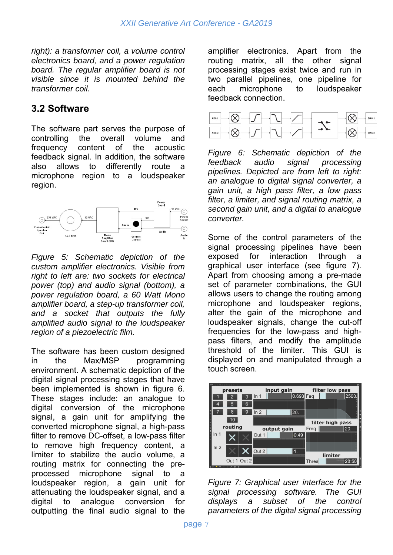*right): a transformer coil, a volume control electronics board, and a power regulation board. The regular amplifier board is not visible since it is mounted behind the transformer coil.*

#### **3.2 Software**

The software part serves the purpose of controlling the overall volume and frequency content of the acoustic feedback signal. In addition, the software also allows to differently route a microphone region to a loudspeaker region.



*Figure 5: Schematic depiction of the custom amplifier electronics. Visible from right to left are: two sockets for electrical power (top) and audio signal (bottom), a power regulation board, a 60 Watt Mono amplifier board, a step-up transformer coil, and a socket that outputs the fully amplified audio signal to the loudspeaker region of a piezoelectric film.*

The software has been custom designed in the Max/MSP programming environment. A schematic depiction of the digital signal processing stages that have been implemented is shown in figure 6. These stages include: an analogue to digital conversion of the microphone signal, a gain unit for amplifying the converted microphone signal, a high-pass filter to remove DC-offset, a low-pass filter to remove high frequency content, a limiter to stabilize the audio volume, a routing matrix for connecting the preprocessed microphone signal to a loudspeaker region, a gain unit for attenuating the loudspeaker signal, and a digital to analogue conversion for outputting the final audio signal to the amplifier electronics. Apart from the routing matrix, all the other signal processing stages exist twice and run in two parallel pipelines, one pipeline for each microphone to loudspeaker feedback connection.



*Figure 6: Schematic depiction of the feedback audio signal processing pipelines. Depicted are from left to right: an analogue to digital signal converter, a gain unit, a high pass filter, a low pass filter, a limiter, and signal routing matrix, a second gain unit, and a digital to analogue converter.*

Some of the control parameters of the signal processing pipelines have been exposed for interaction through a graphical user interface (see figure 7). Apart from choosing among a pre-made set of parameter combinations, the GUI allows users to change the routing among microphone and loudspeaker regions, alter the gain of the microphone and loudspeaker signals, change the cut-off frequencies for the low-pass and highpass filters, and modify the amplitude threshold of the limiter. This GUI is displayed on and manipulated through a touch screen.



*Figure 7: Graphical user interface for the signal processing software. The GUI displays a subset of the control parameters of the digital signal processing*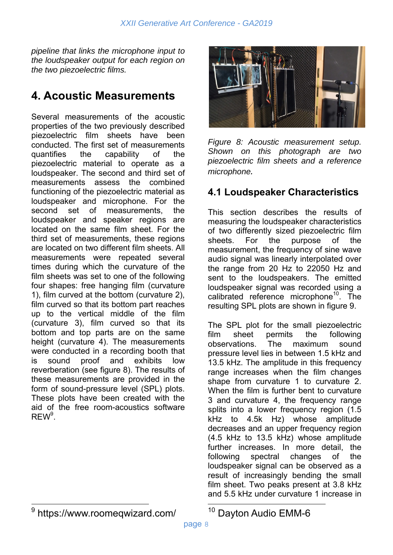*pipeline that links the microphone input to the loudspeaker output for each region on the two piezoelectric films.*

### **4. Acoustic Measurements**

Several measurements of the acoustic properties of the two previously described piezoelectric film sheets have been conducted. The first set of measurements quantifies the capability of the piezoelectric material to operate as a loudspeaker. The second and third set of measurements assess the combined functioning of the piezoelectric material as loudspeaker and microphone. For the second set of measurements, the loudspeaker and speaker regions are located on the same film sheet. For the third set of measurements, these regions are located on two different film sheets. All measurements were repeated several times during which the curvature of the film sheets was set to one of the following four shapes: free hanging film (curvature 1), film curved at the bottom (curvature 2), film curved so that its bottom part reaches up to the vertical middle of the film (curvature 3), film curved so that its bottom and top parts are on the same height (curvature 4). The measurements were conducted in a recording booth that is sound proof and exhibits low reverberation (see figure 8). The results of these measurements are provided in the form of sound-pressure level (SPL) plots. These plots have been created with the aid of the free room-acoustics software  $\mathsf{REW}^9$ .



*Figure 8: Acoustic measurement setup. Shown on this photograph are two piezoelectric film sheets and a reference microphone.*

#### **4.1 Loudspeaker Characteristics**

This section describes the results of measuring the loudspeaker characteristics of two differently sized piezoelectric film sheets. For the purpose of the measurement, the frequency of sine wave audio signal was linearly interpolated over the range from 20 Hz to 22050 Hz and sent to the loudspeakers. The emitted loudspeaker signal was recorded using a calibrated reference microphone<sup>10</sup>. The resulting SPL plots are shown in figure 9.

The SPL plot for the small piezoelectric film sheet permits the following observations. The maximum sound pressure level lies in between 1.5 kHz and 13.5 kHz. The amplitude in this frequency range increases when the film changes shape from curvature 1 to curvature 2. When the film is further bent to curvature 3 and curvature 4, the frequency range splits into a lower frequency region (1.5 kHz to 4.5k Hz) whose amplitude decreases and an upper frequency region (4.5 kHz to 13.5 kHz) whose amplitude further increases. In more detail, the following spectral changes of the loudspeaker signal can be observed as a result of increasingly bending the small film sheet. Two peaks present at 3.8 kHz and 5.5 kHz under curvature 1 increase in

9 https://www.roomeqwizard.com/

10 Dayton Audio EMM-6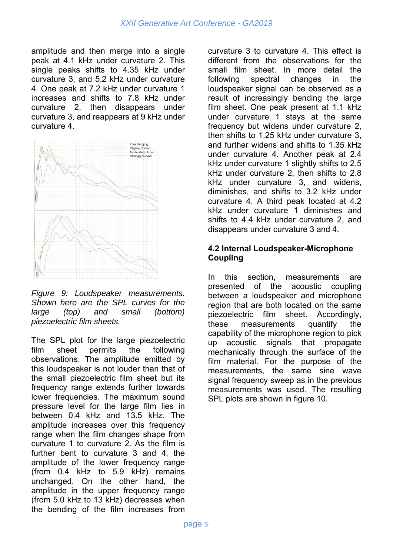amplitude and then merge into a single peak at 4.1 kHz under curvature 2. This single peaks shifts to 4.35 kHz under curvature 3, and 5.2 kHz under curvature 4. One peak at 7.2 kHz under curvature 1 increases and shifts to 7.8 kHz under curvature 2, then disappears under curvature 3, and reappears at 9 kHz under curvature 4.



*Figure 9: Loudspeaker measurements. Shown here are the SPL curves for the large (top) and small (bottom) piezoelectric film sheets.*

The SPL plot for the large piezoelectric film sheet permits the following observations. The amplitude emitted by this loudspeaker is not louder than that of the small piezoelectric film sheet but its frequency range extends further towards lower frequencies. The maximum sound pressure level for the large film lies in between 0.4 kHz and 13.5 kHz. The amplitude increases over this frequency range when the film changes shape from curvature 1 to curvature 2. As the film is further bent to curvature 3 and 4, the amplitude of the lower frequency range (from 0.4 kHz to 5.9 kHz) remains unchanged. On the other hand, the amplitude in the upper frequency range (from 5.0 kHz to 13 kHz) decreases when the bending of the film increases from

curvature 3 to curvature 4. This effect is different from the observations for the small film sheet. In more detail the following spectral changes in the loudspeaker signal can be observed as a result of increasingly bending the large film sheet. One peak present at 1.1 kHz under curvature 1 stays at the same frequency but widens under curvature 2, then shifts to 1.25 kHz under curvature 3, and further widens and shifts to 1.35 kHz under curvature 4. Another peak at 2.4 kHz under curvature 1 slightly shifts to 2.5 kHz under curvature 2, then shifts to 2.8 kHz under curvature 3, and widens, diminishes, and shifts to 3.2 kHz under curvature 4. A third peak located at 4.2 kHz under curvature 1 diminishes and shifts to 4.4 kHz under curvature 2, and disappears under curvature 3 and 4.

#### **4.2 Internal Loudspeaker-Microphone Coupling**

In this section, measurements are presented of the acoustic coupling between a loudspeaker and microphone region that are both located on the same piezoelectric film sheet. Accordingly, these measurements quantify the capability of the microphone region to pick up acoustic signals that propagate mechanically through the surface of the film material. For the purpose of the measurements, the same sine wave signal frequency sweep as in the previous measurements was used. The resulting SPL plots are shown in figure 10.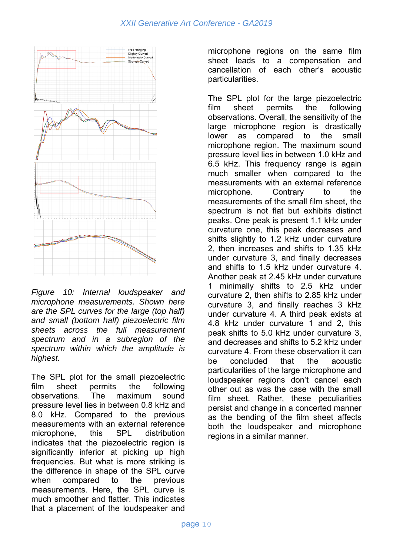

*Figure 10: Internal loudspeaker and microphone measurements. Shown here are the SPL curves for the large (top half) and small (bottom half) piezoelectric film sheets across the full measurement spectrum and in a subregion of the spectrum within which the amplitude is highest.*

The SPL plot for the small piezoelectric film sheet permits the following observations. The maximum sound pressure level lies in between 0.8 kHz and 8.0 kHz. Compared to the previous measurements with an external reference microphone, this SPL distribution indicates that the piezoelectric region is significantly inferior at picking up high frequencies. But what is more striking is the difference in shape of the SPL curve when compared to the previous measurements. Here, the SPL curve is much smoother and flatter. This indicates that a placement of the loudspeaker and

microphone regions on the same film sheet leads to a compensation and cancellation of each other's acoustic particularities.

The SPL plot for the large piezoelectric film sheet permits the following observations. Overall, the sensitivity of the large microphone region is drastically lower as compared to the small microphone region. The maximum sound pressure level lies in between 1.0 kHz and 6.5 kHz. This frequency range is again much smaller when compared to the measurements with an external reference microphone. Contrary to the measurements of the small film sheet, the spectrum is not flat but exhibits distinct peaks. One peak is present 1.1 kHz under curvature one, this peak decreases and shifts slightly to 1.2 kHz under curvature 2, then increases and shifts to 1.35 kHz under curvature 3, and finally decreases and shifts to 1.5 kHz under curvature 4. Another peak at 2.45 kHz under curvature 1 minimally shifts to 2.5 kHz under curvature 2, then shifts to 2.85 kHz under curvature 3, and finally reaches 3 kHz under curvature 4. A third peak exists at 4.8 kHz under curvature 1 and 2, this peak shifts to 5.0 kHz under curvature 3, and decreases and shifts to 5.2 kHz under curvature 4. From these observation it can be concluded that the acoustic particularities of the large microphone and loudspeaker regions don't cancel each other out as was the case with the small film sheet. Rather, these peculiarities persist and change in a concerted manner as the bending of the film sheet affects both the loudspeaker and microphone regions in a similar manner.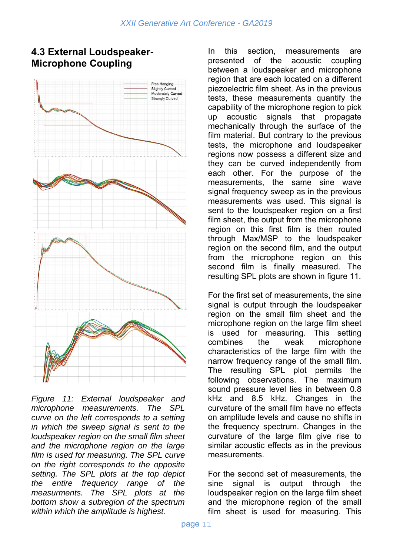

#### **4.3 External Loudspeaker-Microphone Coupling**

*Figure 11: External loudspeaker and microphone measurements. The SPL curve on the left corresponds to a setting in which the sweep signal is sent to the loudspeaker region on the small film sheet and the microphone region on the large film is used for measuring. The SPL curve on the right corresponds to the opposite setting. The SPL plots at the top depict the entire frequency range of the measurments. The SPL plots at the bottom show a subregion of the spectrum within which the amplitude is highest.*

In this section, measurements are presented of the acoustic coupling between a loudspeaker and microphone region that are each located on a different piezoelectric film sheet. As in the previous tests, these measurements quantify the capability of the microphone region to pick up acoustic signals that propagate mechanically through the surface of the film material. But contrary to the previous tests, the microphone and loudspeaker regions now possess a different size and they can be curved independently from each other. For the purpose of the measurements, the same sine wave signal frequency sweep as in the previous measurements was used. This signal is sent to the loudspeaker region on a first film sheet, the output from the microphone region on this first film is then routed through Max/MSP to the loudspeaker region on the second film, and the output from the microphone region on this second film is finally measured. The resulting SPL plots are shown in figure 11.

For the first set of measurements, the sine signal is output through the loudspeaker region on the small film sheet and the microphone region on the large film sheet is used for measuring. This setting combines the weak microphone characteristics of the large film with the narrow frequency range of the small film. The resulting SPL plot permits the following observations. The maximum sound pressure level lies in between 0.8 kHz and 8.5 kHz. Changes in the curvature of the small film have no effects on amplitude levels and cause no shifts in the frequency spectrum. Changes in the curvature of the large film give rise to similar acoustic effects as in the previous measurements.

For the second set of measurements, the sine signal is output through the loudspeaker region on the large film sheet and the microphone region of the small film sheet is used for measuring. This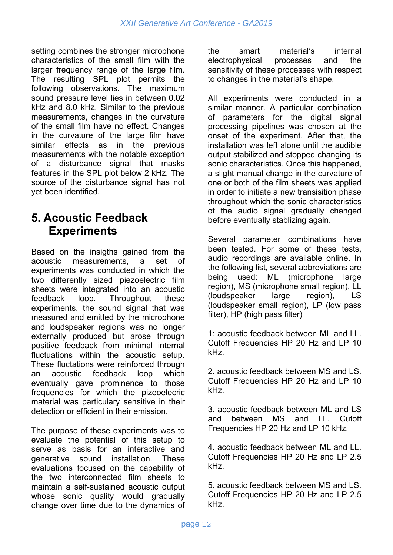setting combines the stronger microphone characteristics of the small film with the larger frequency range of the large film. The resulting SPL plot permits the following observations. The maximum sound pressure level lies in between 0.02 kHz and 8.0 kHz. Similar to the previous measurements, changes in the curvature of the small film have no effect. Changes in the curvature of the large film have similar effects as in the previous measurements with the notable exception of a disturbance signal that masks features in the SPL plot below 2 kHz. The source of the disturbance signal has not yet been identified.

### **5. Acoustic Feedback Experiments**

Based on the insigths gained from the acoustic measurements, a set of experiments was conducted in which the two differently sized piezoelectric film sheets were integrated into an acoustic feedback loop. Throughout these experiments, the sound signal that was measured and emitted by the microphone and loudspeaker regions was no longer externally produced but arose through positive feedback from minimal internal fluctuations within the acoustic setup. These fluctations were reinforced through an acoustic feedback loop which eventually gave prominence to those frequencies for which the pizeoelecric material was particulary sensitive in their detection or efficient in their emission.

The purpose of these experiments was to evaluate the potential of this setup to serve as basis for an interactive and generative sound installation. These evaluations focused on the capability of the two interconnected film sheets to maintain a self-sustained acoustic output whose sonic quality would gradually change over time due to the dynamics of the smart material's internal electrophysical processes and the sensitivity of these processes with respect to changes in the material's shape.

All experiments were conducted in a similar manner. A particular combination of parameters for the digital signal processing pipelines was chosen at the onset of the experiment. After that, the installation was left alone until the audible output stabilized and stopped changing its sonic characteristics. Once this happened, a slight manual change in the curvature of one or both of the film sheets was applied in order to initiate a new transisition phase throughout which the sonic characteristics of the audio signal gradually changed before eventually stablizing again.

Several parameter combinations have been tested. For some of these tests, audio recordings are available online. In the following list, several abbreviations are being used: ML (microphone large region), MS (microphone small region), LL (loudspeaker large region), LS (loudspeaker small region), LP (low pass filter), HP (high pass filter)

1: acoustic feedback between ML and LL. Cutoff Frequencies HP 20 Hz and LP 10 kHz.

2. acoustic feedback between MS and LS. Cutoff Frequencies HP 20 Hz and LP 10 kHz.

3. acoustic feedback between ML and LS and between MS and LL. Cutoff Frequencies HP 20 Hz and LP 10 kHz.

4. acoustic feedback between ML and LL. Cutoff Frequencies HP 20 Hz and LP 2.5 kHz.

5. acoustic feedback between MS and LS. Cutoff Frequencies HP 20 Hz and LP 2.5 kHz.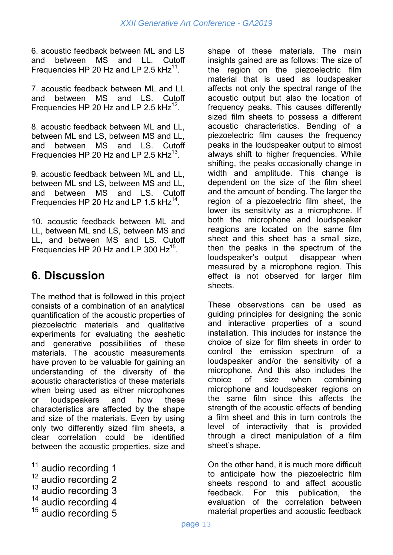6. acoustic feedback between ML and LS and between MS and LL. Cutoff Frequencies HP 20 Hz and LP 2.5  $kHz$ <sup>11</sup>.

7. acoustic feedback between ML and LL and between MS and LS. Cutoff Frequencies HP 20 Hz and LP 2.5  $kHz^{12}$ .

8. acoustic feedback between ML and LL, between ML snd LS, between MS and LL, and between MS and LS. Cutoff Frequencies HP 20 Hz and LP 2.5  $kHz^{13}$ .

9. acoustic feedback between ML and LL, between ML snd LS, between MS and LL, and between MS and LS. Cutoff Frequencies HP 20 Hz and LP 1.5  $kHz^{14}$ .

10. acoustic feedback between ML and LL, between ML snd LS, between MS and LL, and between MS and LS. Cutoff Frequencies HP 20 Hz and LP 300 Hz $^{15}$ .

### **6. Discussion**

The method that is followed in this project consists of a combination of an analytical quantification of the acoustic properties of piezoelectric materials and qualitative experiments for evaluating the aeshetic and generative possibilities of these materials. The acoustic measurements have proven to be valuable for gaining an understanding of the diversity of the acoustic characteristics of these materials when being used as either microphones or loudspeakers and how these characteristics are affected by the shape and size of the materials. Even by using only two differently sized film sheets, a clear correlation could be identified between the acoustic properties, size and

- 
- 
- <sup>11</sup> audio recording 1<br><sup>12</sup> audio recording 2<br><sup>13</sup> audio recording 4<br><sup>15</sup> audio recording 5

shape of these materials. The main insights gained are as follows: The size of the region on the piezoelectric film material that is used as loudspeaker affects not only the spectral range of the acoustic output but also the location of frequency peaks. This causes differently sized film sheets to possess a different acoustic characteristics. Bending of a piezoelectric film causes the frequency peaks in the loudspeaker output to almost always shift to higher frequencies. While shifting, the peaks occasionally change in width and amplitude. This change is dependent on the size of the film sheet and the amount of bending. The larger the region of a piezoelectric film sheet, the lower its sensitivity as a microphone. If both the microphone and loudspeaker reagions are located on the same film sheet and this sheet has a small size, then the peaks in the spectrum of the loudspeaker's output disappear when measured by a microphone region. This effect is not observed for larger film sheets.

These observations can be used as guiding principles for designing the sonic and interactive properties of a sound installation. This includes for instance the choice of size for film sheets in order to control the emission spectrum of a loudspeaker and/or the sensitivity of a microphone. And this also includes the choice of size when combining microphone and loudspeaker regions on the same film since this affects the strength of the acoustic effects of bending a film sheet and this in turn controls the level of interactivity that is provided through a direct manipulation of a film sheet's shape.

On the other hand, it is much more difficult to anticipate how the piezoelectric film sheets respond to and affect acoustic feedback. For this publication, the evaluation of the correlation between material properties and acoustic feedback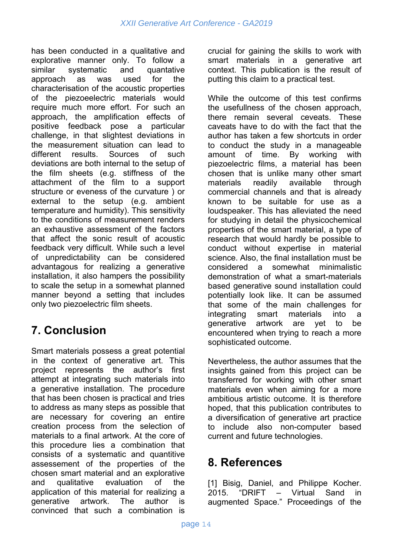has been conducted in a qualitative and explorative manner only. To follow a similar systematic and quantative approach as was used for the characterisation of the acoustic properties of the piezoeelectric materials would require much more effort. For such an approach, the amplification effects of positive feedback pose a particular challenge, in that slightest deviations in the measurement situation can lead to different results. Sources of such deviations are both internal to the setup of the film sheets (e.g. stiffness of the attachment of the film to a support structure or eveness of the curvature ) or external to the setup (e.g. ambient temperature and humidity). This sensitivity to the conditions of measurement renders an exhaustive assessment of the factors that affect the sonic result of acoustic feedback very difficult. While such a level of unpredictability can be considered advantagous for realizing a generative installation, it also hampers the possibility to scale the setup in a somewhat planned manner beyond a setting that includes only two piezoelectric film sheets.

### **7. Conclusion**

Smart materials possess a great potential in the context of generative art. This project represents the author's first attempt at integrating such materials into a generative installation. The procedure that has been chosen is practical and tries to address as many steps as possible that are necessary for covering an entire creation process from the selection of materials to a final artwork. At the core of this procedure lies a combination that consists of a systematic and quantitive assessement of the properties of the chosen smart material and an explorative and qualitative evaluation of the application of this material for realizing a generative artwork. The author is convinced that such a combination is

crucial for gaining the skills to work with smart materials in a generative art context. This publication is the result of putting this claim to a practical test.

While the outcome of this test confirms the usefullness of the chosen approach, there remain several ceveats. These caveats have to do with the fact that the author has taken a few shortcuts in order to conduct the study in a manageable amount of time. By working with piezoelectric films, a material has been chosen that is unlike many other smart materials readily available through commercial channels and that is already known to be suitable for use as a loudspeaker. This has alleviated the need for studying in detail the physicochemical properties of the smart material, a type of research that would hardly be possible to conduct without expertise in material science. Also, the final installation must be considered a somewhat minimalistic demonstration of what a smart-materials based generative sound installation could potentially look like. It can be assumed that some of the main challenges for<br>integrating smart materials into a integrating smart materials into a generative artwork are yet to be encountered when trying to reach a more sophisticated outcome.

Nevertheless, the author assumes that the insights gained from this project can be transferred for working with other smart materials even when aiming for a more ambitious artistic outcome. It is therefore hoped, that this publication contributes to a diversification of generative art practice to include also non-computer based current and future technologies.

### **8. References**

[1] Bisig, Daniel, and Philippe Kocher. 2015. "DRIFT – Virtual Sand in augmented Space." Proceedings of the